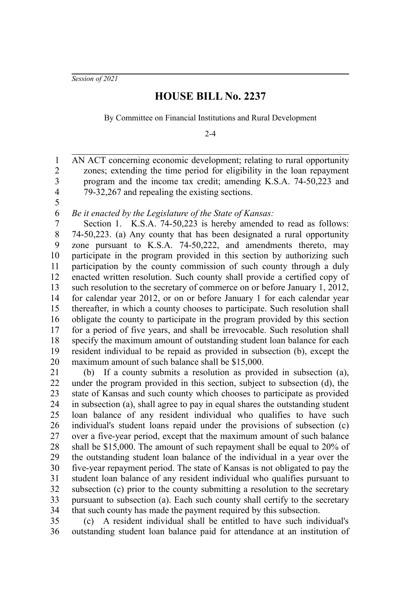*Session of 2021*

5

## **HOUSE BILL No. 2237**

By Committee on Financial Institutions and Rural Development

 $2 - 4$ 

AN ACT concerning economic development; relating to rural opportunity zones; extending the time period for eligibility in the loan repayment program and the income tax credit; amending K.S.A. 74-50,223 and 79-32,267 and repealing the existing sections. 1 2 3 4

*Be it enacted by the Legislature of the State of Kansas:* 6

Section 1. K.S.A. 74-50,223 is hereby amended to read as follows: 74-50,223. (a) Any county that has been designated a rural opportunity zone pursuant to K.S.A. 74-50,222, and amendments thereto, may participate in the program provided in this section by authorizing such participation by the county commission of such county through a duly enacted written resolution. Such county shall provide a certified copy of such resolution to the secretary of commerce on or before January 1, 2012, for calendar year 2012, or on or before January 1 for each calendar year thereafter, in which a county chooses to participate. Such resolution shall obligate the county to participate in the program provided by this section for a period of five years, and shall be irrevocable. Such resolution shall specify the maximum amount of outstanding student loan balance for each resident individual to be repaid as provided in subsection (b), except the maximum amount of such balance shall be \$15,000. 7 8 9 10 11 12 13 14 15 16 17 18 19 20

(b) If a county submits a resolution as provided in subsection (a), under the program provided in this section, subject to subsection (d), the state of Kansas and such county which chooses to participate as provided in subsection (a), shall agree to pay in equal shares the outstanding student loan balance of any resident individual who qualifies to have such individual's student loans repaid under the provisions of subsection (c) over a five-year period, except that the maximum amount of such balance shall be \$15,000. The amount of such repayment shall be equal to 20% of the outstanding student loan balance of the individual in a year over the five-year repayment period. The state of Kansas is not obligated to pay the student loan balance of any resident individual who qualifies pursuant to subsection (c) prior to the county submitting a resolution to the secretary pursuant to subsection (a). Each such county shall certify to the secretary that such county has made the payment required by this subsection. 21 22 23 24 25 26 27 28 29 30 31 32 33 34

(c) A resident individual shall be entitled to have such individual's outstanding student loan balance paid for attendance at an institution of 35 36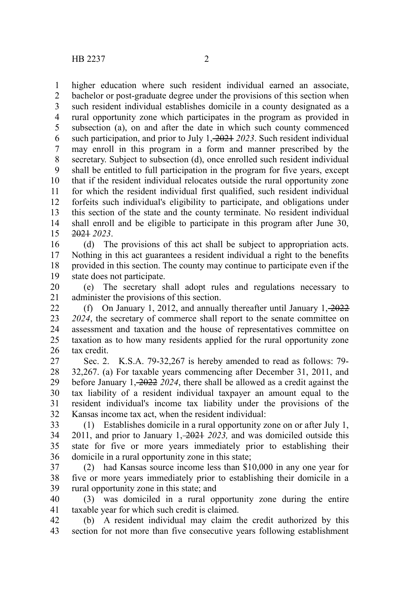higher education where such resident individual earned an associate, bachelor or post-graduate degree under the provisions of this section when such resident individual establishes domicile in a county designated as a rural opportunity zone which participates in the program as provided in subsection (a), on and after the date in which such county commenced such participation, and prior to July 1, 2021 *2023*. Such resident individual may enroll in this program in a form and manner prescribed by the secretary. Subject to subsection (d), once enrolled such resident individual shall be entitled to full participation in the program for five years, except that if the resident individual relocates outside the rural opportunity zone for which the resident individual first qualified, such resident individual forfeits such individual's eligibility to participate, and obligations under this section of the state and the county terminate. No resident individual shall enroll and be eligible to participate in this program after June 30, 2021 *2023*. 1 2 3 4 5 6 7 8 9 10 11 12 13 14 15

(d) The provisions of this act shall be subject to appropriation acts. Nothing in this act guarantees a resident individual a right to the benefits provided in this section. The county may continue to participate even if the state does not participate. 16 17 18 19

(e) The secretary shall adopt rules and regulations necessary to administer the provisions of this section. 20 21

(f) On January 1, 2012, and annually thereafter until January  $1, -2022$ *2024*, the secretary of commerce shall report to the senate committee on assessment and taxation and the house of representatives committee on taxation as to how many residents applied for the rural opportunity zone tax credit. 22 23 24 25 26

Sec. 2. K.S.A. 79-32,267 is hereby amended to read as follows: 79- 32,267. (a) For taxable years commencing after December 31, 2011, and before January 1, 2022 *2024*, there shall be allowed as a credit against the tax liability of a resident individual taxpayer an amount equal to the resident individual's income tax liability under the provisions of the Kansas income tax act, when the resident individual: 27 28 29 30 31 32

(1) Establishes domicile in a rural opportunity zone on or after July 1, 2011, and prior to January 1, 2021 *2023,* and was domiciled outside this state for five or more years immediately prior to establishing their domicile in a rural opportunity zone in this state; 33 34 35 36

(2) had Kansas source income less than \$10,000 in any one year for five or more years immediately prior to establishing their domicile in a rural opportunity zone in this state; and 37 38 39

(3) was domiciled in a rural opportunity zone during the entire taxable year for which such credit is claimed. 40 41

(b) A resident individual may claim the credit authorized by this section for not more than five consecutive years following establishment 42 43